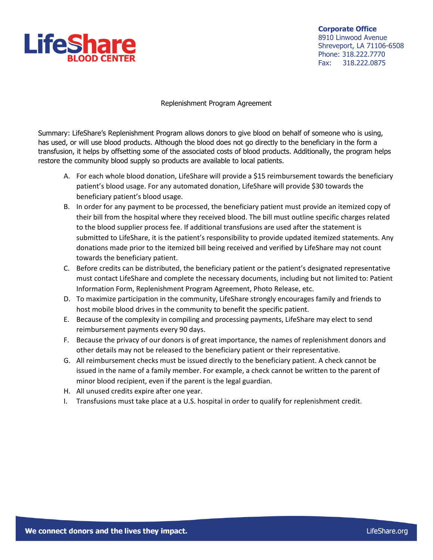

**Corporate Office** 8910 Linwood Avenue Shreveport, LA 71106-6508 Phone: 318.222.7770 Fax: 318.222.0875

Replenishment Program Agreement

Summary: LifeShare's Replenishment Program allows donors to give blood on behalf of someone who is using, has used, or will use blood products. Although the blood does not go directly to the beneficiary in the form a transfusion, it helps by offsetting some of the associated costs of blood products. Additionally, the program helps restore the community blood supply so products are available to local patients.

- A. For each whole blood donation, LifeShare will provide a \$15 reimbursement towards the beneficiary patient's blood usage. For any automated donation, LifeShare will provide \$30 towards the beneficiary patient's blood usage.
- B. In order for any payment to be processed, the beneficiary patient must provide an itemized copy of their bill from the hospital where they received blood. The bill must outline specific charges related to the blood supplier process fee. If additional transfusions are used after the statement is submitted to LifeShare, it is the patient's responsibility to provide updated itemized statements. Any donations made prior to the itemized bill being received and verified by LifeShare may not count towards the beneficiary patient.
- C. Before credits can be distributed, the beneficiary patient or the patient's designated representative must contact LifeShare and complete the necessary documents, including but not limited to: Patient Information Form, Replenishment Program Agreement, Photo Release, etc.
- D. To maximize participation in the community, LifeShare strongly encourages family and friends to host mobile blood drives in the community to benefit the specific patient.
- E. Because of the complexity in compiling and processing payments, LifeShare may elect to send reimbursement payments every 90 days.
- F. Because the privacy of our donors is of great importance, the names of replenishment donors and other details may not be released to the beneficiary patient or their representative.
- G. All reimbursement checks must be issued directly to the beneficiary patient. A check cannot be issued in the name of a family member. For example, a check cannot be written to the parent of minor blood recipient, even if the parent is the legal guardian.
- H. All unused credits expire after one year.
- I. Transfusions must take place at a U.S. hospital in order to qualify for replenishment credit.